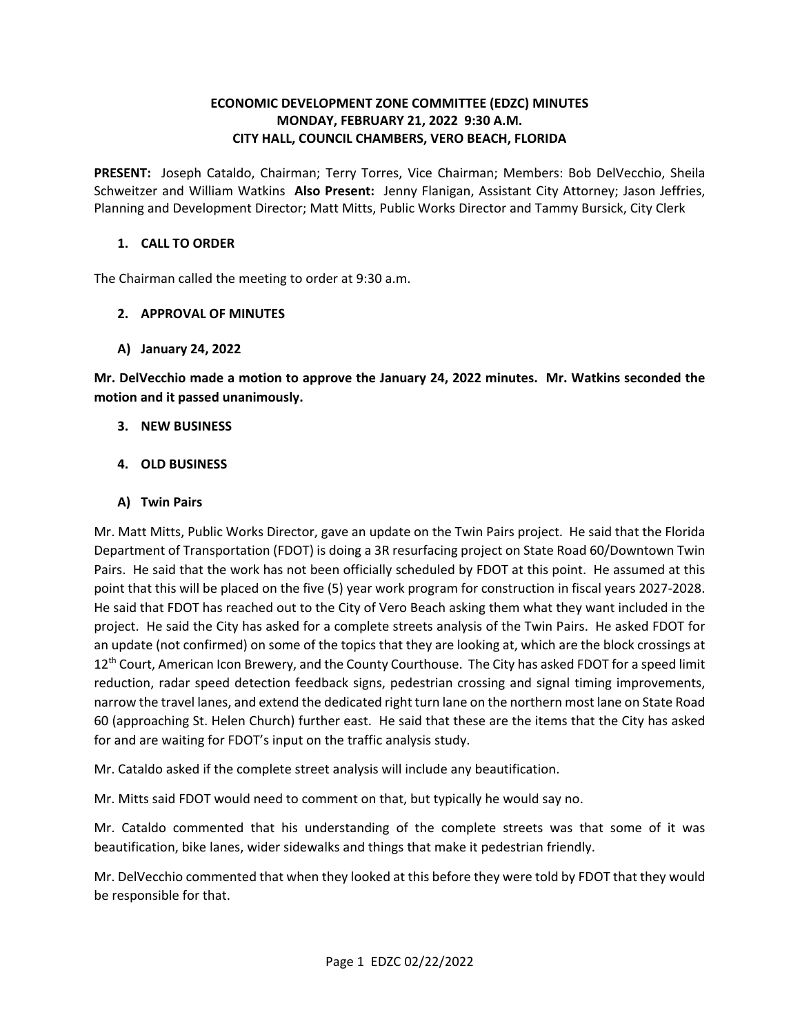### **ECONOMIC DEVELOPMENT ZONE COMMITTEE (EDZC) MINUTES MONDAY, FEBRUARY 21, 2022 9:30 A.M. CITY HALL, COUNCIL CHAMBERS, VERO BEACH, FLORIDA**

 **PRESENT:** Joseph Cataldo, Chairman; Terry Torres, Vice Chairman; Members: Bob DelVecchio, Sheila Schweitzer and William Watkins **Also Present:** Jenny Flanigan, Assistant City Attorney; Jason Jeffries, Planning and Development Director; Matt Mitts, Public Works Director and Tammy Bursick, City Clerk

#### **1. CALL TO ORDER**

The Chairman called the meeting to order at 9:30 a.m.

### **2. APPROVAL OF MINUTES**

**A) January 24, 2022** 

 **Mr. DelVecchio made a motion to approve the January 24, 2022 minutes. Mr. Watkins seconded the motion and it passed unanimously. 3. NEW BUSINESS** 

- 
- **4. OLD BUSINESS**
- **A) Twin Pairs**

 Mr. Matt Mitts, Public Works Director, gave an update on the Twin Pairs project. He said that the Florida Pairs. He said that the work has not been officially scheduled by FDOT at this point. He assumed at this point that this will be placed on the five (5) year work program for construction in fiscal years 2027-2028. He said that FDOT has reached out to the City of Vero Beach asking them what they want included in the an update (not confirmed) on some of the topics that they are looking at, which are the block crossings at 12<sup>th</sup> Court, American Icon Brewery, and the County Courthouse. The City has asked FDOT for a speed limit 60 (approaching St. Helen Church) further east. He said that these are the items that the City has asked Department of Transportation (FDOT) is doing a 3R resurfacing project on State Road 60/Downtown Twin project. He said the City has asked for a complete streets analysis of the Twin Pairs. He asked FDOT for reduction, radar speed detection feedback signs, pedestrian crossing and signal timing improvements, narrow the travel lanes, and extend the dedicated right turn lane on the northern most lane on State Road for and are waiting for FDOT's input on the traffic analysis study.

Mr. Cataldo asked if the complete street analysis will include any beautification.

Mr. Mitts said FDOT would need to comment on that, but typically he would say no.

Mr. Mitts said FDOT would need to comment on that, but typically he would say no.<br>Mr. Cataldo commented that his understanding of the complete streets was that some of it was beautification, bike lanes, wider sidewalks and things that make it pedestrian friendly.

Mr. DelVecchio commented that when they looked at this before they were told by FDOT that they would be responsible for that.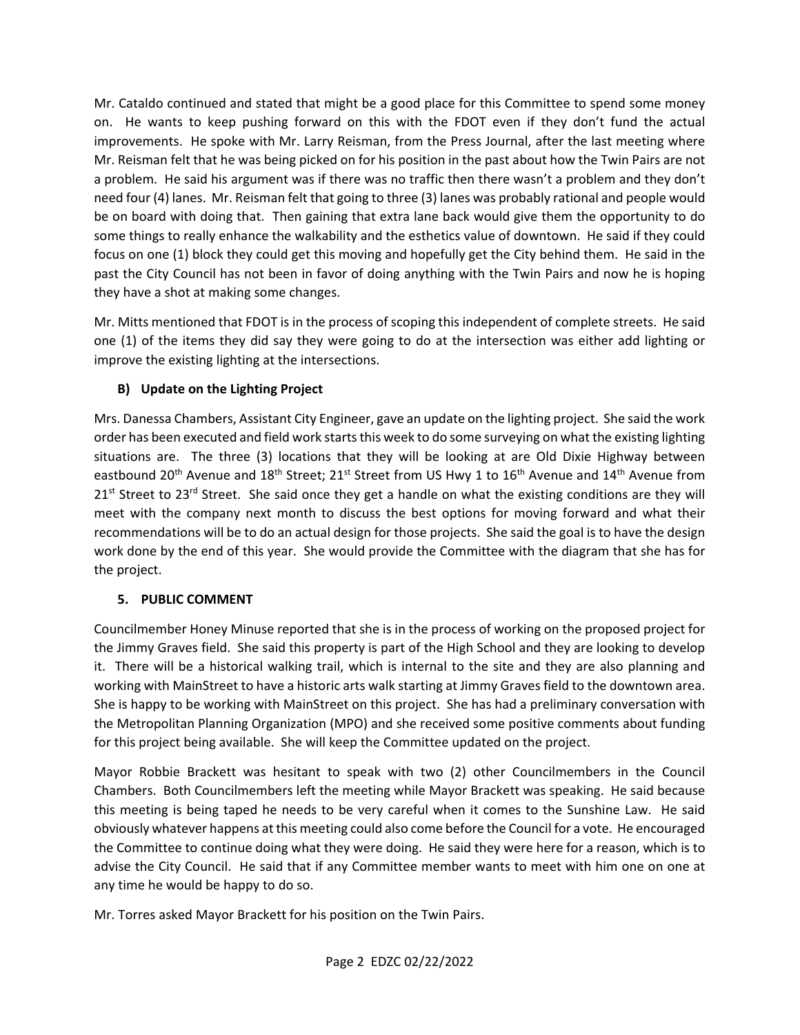Mr. Cataldo continued and stated that might be a good place for this Committee to spend some money Mr. Reisman felt that he was being picked on for his position in the past about how the Twin Pairs are not a problem. He said his argument was if there was no traffic then there wasn't a problem and they don't need four (4) lanes. Mr. Reisman felt that going to three (3) lanes was probably rational and people would be on board with doing that. Then gaining that extra lane back would give them the opportunity to do focus on one (1) block they could get this moving and hopefully get the City behind them. He said in the past the City Council has not been in favor of doing anything with the Twin Pairs and now he is hoping on. He wants to keep pushing forward on this with the FDOT even if they don't fund the actual improvements. He spoke with Mr. Larry Reisman, from the Press Journal, after the last meeting where some things to really enhance the walkability and the esthetics value of downtown. He said if they could they have a shot at making some changes.

 Mr. Mitts mentioned that FDOT is in the process of scoping this independent of complete streets. He said improve the existing lighting at the intersections. one (1) of the items they did say they were going to do at the intersection was either add lighting or

# **B) Update on the Lighting Project**

 order has been executed and field work starts this week to do some surveying on what the existing lighting eastbound 20<sup>th</sup> Avenue and 18<sup>th</sup> Street; 21<sup>st</sup> Street from US Hwy 1 to 16<sup>th</sup> Avenue and 14<sup>th</sup> Avenue from 21<sup>st</sup> Street to 23<sup>rd</sup> Street. She said once they get a handle on what the existing conditions are they will meet with the company next month to discuss the best options for moving forward and what their recommendations will be to do an actual design for those projects. She said the goal is to have the design Mrs. Danessa Chambers, Assistant City Engineer, gave an update on the lighting project. She said the work situations are. The three (3) locations that they will be looking at are Old Dixie Highway between work done by the end of this year. She would provide the Committee with the diagram that she has for the project.

# **5. PUBLIC COMMENT**

working with MainStreet to have a historic arts walk starting at Jimmy Graves field to the downtown area. working with MainStreet to have a historic arts walk starting at Jimmy Graves field to the downtown area.<br>She is happy to be working with MainStreet on this project. She has had a preliminary conversation with Councilmember Honey Minuse reported that she is in the process of working on the proposed project for the Jimmy Graves field. She said this property is part of the High School and they are looking to develop it. There will be a historical walking trail, which is internal to the site and they are also planning and the Metropolitan Planning Organization (MPO) and she received some positive comments about funding for this project being available. She will keep the Committee updated on the project.

 Chambers. Both Councilmembers left the meeting while Mayor Brackett was speaking. He said because this meeting is being taped he needs to be very careful when it comes to the Sunshine Law. He said obviously whatever happens at this meeting could also come before the Council for a vote. He encouraged the Committee to continue doing what they were doing. He said they were here for a reason, which is to advise the City Council. He said that if any Committee member wants to meet with him one on one at Mayor Robbie Brackett was hesitant to speak with two (2) other Councilmembers in the Council any time he would be happy to do so.

Mr. Torres asked Mayor Brackett for his position on the Twin Pairs.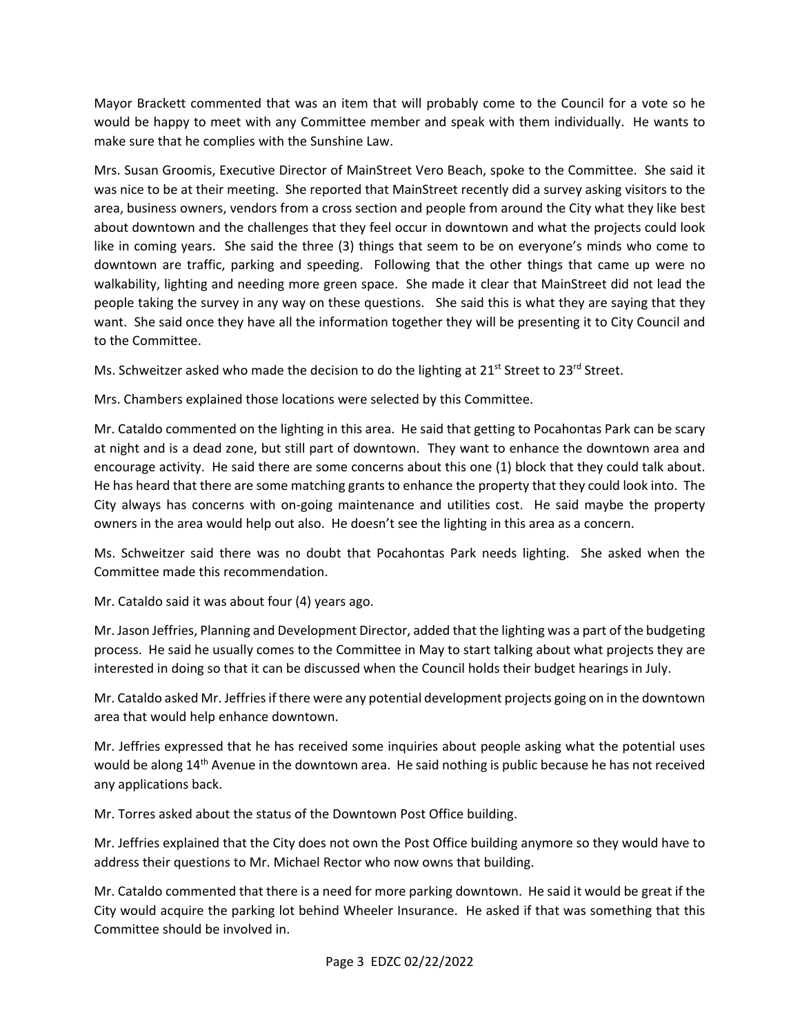Mayor Brackett commented that was an item that will probably come to the Council for a vote so he would be happy to meet with any Committee member and speak with them individually. He wants to make sure that he complies with the Sunshine Law.

 was nice to be at their meeting. She reported that MainStreet recently did a survey asking visitors to the about downtown and the challenges that they feel occur in downtown and what the projects could look downtown are traffic, parking and speeding. Following that the other things that came up were no walkability, lighting and needing more green space. She made it clear that MainStreet did not lead the people taking the survey in any way on these questions. She said this is what they are saying that they to the Committee. Mrs. Susan Groomis, Executive Director of MainStreet Vero Beach, spoke to the Committee. She said it area, business owners, vendors from a cross section and people from around the City what they like best like in coming years. She said the three (3) things that seem to be on everyone's minds who come to want. She said once they have all the information together they will be presenting it to City Council and

to the Committee.<br>Ms. Schweitzer asked who made the decision to do the lighting at 21<sup>st</sup> Street to 23<sup>rd</sup> Street.

Mrs. Chambers explained those locations were selected by this Committee.

Mrs. Chambers explained those locations were selected by this Committee.<br>Mr. Cataldo commented on the lighting in this area. He said that getting to Pocahontas Park can be scary encourage activity. He said there are some concerns about this one (1) block that they could talk about.<br>He has heard that there are some matching grants to enhance the property that they could look into. The He has heard that there are some matching grants to enhance the property that they could look into. The City always has concerns with on-going maintenance and utilities cost. He said maybe the property owners in the area would help out also. He doesn't see the lighting in this area as a concern. at night and is a dead zone, but still part of downtown. They want to enhance the downtown area and

 Committee made this recommendation. Ms. Schweitzer said there was no doubt that Pocahontas Park needs lighting. She asked when the

Mr. Cataldo said it was about four (4) years ago.

Mr. Cataldo said it was about four (4) years ago.<br>Mr. Jason Jeffries, Planning and Development Director, added that the lighting was a part of the budgeting process. He said he usually comes to the Committee in May to start talking about what projects they are interested in doing so that it can be discussed when the Council holds their budget hearings in July.

 Mr. Cataldo asked Mr. Jeffries if there were any potential development projects going on in the downtown area that would help enhance downtown.

 Mr. Jeffries expressed that he has received some inquiries about people asking what the potential uses any applications back. would be along 14<sup>th</sup> Avenue in the downtown area. He said nothing is public because he has not received

Mr. Torres asked about the status of the Downtown Post Office building.

 Mr. Jeffries explained that the City does not own the Post Office building anymore so they would have to address their questions to Mr. Michael Rector who now owns that building.

 Mr. Cataldo commented that there is a need for more parking downtown. He said it would be great if the City would acquire the parking lot behind Wheeler Insurance. He asked if that was something that this Committee should be involved in.